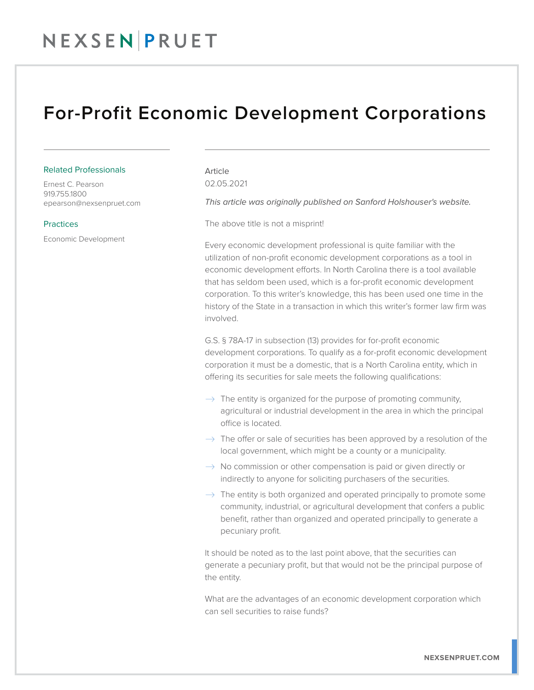## NEXSENPRUET

### For-Profit Economic Development Corporations

#### Related Professionals

Ernest C. Pearson 919.755.1800 epearson@nexsenpruet.com

#### **Practices**

Economic Development

Article 02.05.2021

*This article was originally published on Sanford Holshouser's website.* 

The above title is not a misprint!

Every economic development professional is quite familiar with the utilization of non-profit economic development corporations as a tool in economic development efforts. In North Carolina there is a tool available that has seldom been used, which is a for-profit economic development corporation. To this writer's knowledge, this has been used one time in the history of the State in a transaction in which this writer's former law firm was involved.

G.S. § 78A-17 in subsection (13) provides for for-profit economic development corporations. To qualify as a for-profit economic development corporation it must be a domestic, that is a North Carolina entity, which in offering its securities for sale meets the following qualifications:

- $\rightarrow$  The entity is organized for the purpose of promoting community, agricultural or industrial development in the area in which the principal office is located.
- $\rightarrow$  The offer or sale of securities has been approved by a resolution of the local government, which might be a county or a municipality.
- $\rightarrow$  No commission or other compensation is paid or given directly or indirectly to anyone for soliciting purchasers of the securities.
- $\rightarrow$  The entity is both organized and operated principally to promote some community, industrial, or agricultural development that confers a public benefit, rather than organized and operated principally to generate a pecuniary profit.

It should be noted as to the last point above, that the securities can generate a pecuniary profit, but that would not be the principal purpose of the entity.

What are the advantages of an economic development corporation which can sell securities to raise funds?